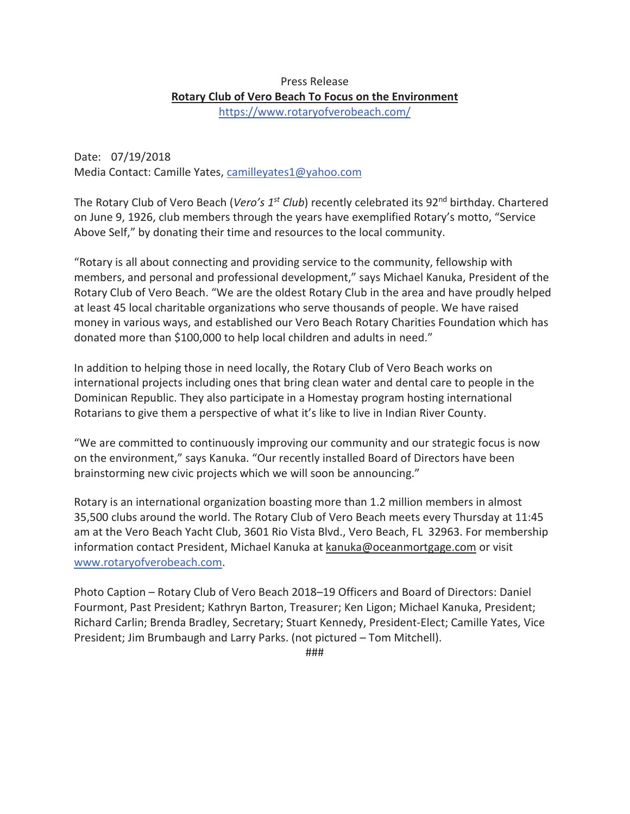## Press Release **Rotary Club of Vero Beach To Focus on the Environment**  https://www.rotaryofverobeach.com/

Date: 07/19/2018 Media Contact: Camille Yates, camilleyates1@yahoo.com

The Rotary Club of Vero Beach (*Vero's 1<sup>st</sup> Club*) recently celebrated its 92<sup>nd</sup> birthday. Chartered on June 9, 1926, club members through the years have exemplified Rotary's motto, "Service Above Self," by donating their time and resources to the local community.

"Rotary is all about connecting and providing service to the community, fellowship with members, and personal and professional development," says Michael Kanuka, President of the Rotary Club of Vero Beach. "We are the oldest Rotary Club in the area and have proudly helped at least 45 local charitable organizations who serve thousands of people. We have raised money in various ways, and established our Vero Beach Rotary Charities Foundation which has donated more than \$100,000 to help local children and adults in need."

In addition to helping those in need locally, the Rotary Club of Vero Beach works on international projects including ones that bring clean water and dental care to people in the Dominican Republic. They also participate in a Homestay program hosting international Rotarians to give them a perspective of what it's like to live in Indian River County.

"We are committed to continuously improving our community and our strategic focus is now on the environment," says Kanuka. "Our recently installed Board of Directors have been brainstorming new civic projects which we will soon be announcing."

Rotary is an international organization boasting more than 1.2 million members in almost 35,500 clubs around the world. The Rotary Club of Vero Beach meets every Thursday at 11:45 am at the Vero Beach Yacht Club, 3601 Rio Vista Blvd., Vero Beach, FL 32963. For membership information contact President, Michael Kanuka at kanuka@oceanmortgage.com or visit www.rotaryofverobeach.com.

Photo Caption – Rotary Club of Vero Beach 2018–19 Officers and Board of Directors: Daniel Fourmont, Past President; Kathryn Barton, Treasurer; Ken Ligon; Michael Kanuka, President; Richard Carlin; Brenda Bradley, Secretary; Stuart Kennedy, President-Elect; Camille Yates, Vice President; Jim Brumbaugh and Larry Parks. (not pictured – Tom Mitchell).

###